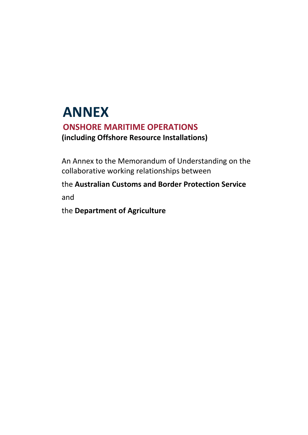# **ANNEX ONSHORE MARITIME OPERATIONS (including Offshore Resource Installations)**

An Annex to the Memorandum of Understanding on the collaborative working relationships between

the **Australian Customs and Border Protection Service**  and

the **Department of Agriculture**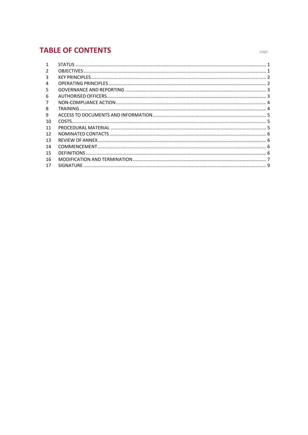# **TABLE OF CONTENTS**

| $\mathbf{1}$ |  |
|--------------|--|
| 2            |  |
| 3            |  |
| 4            |  |
| 5            |  |
| 6            |  |
| 7            |  |
| 8            |  |
| 9            |  |
| 10           |  |
| 11           |  |
| 12           |  |
| 13           |  |
| 14           |  |
| 15           |  |
| 16           |  |
| 17           |  |

page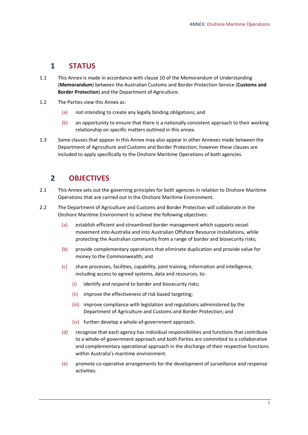#### <span id="page-2-0"></span>**1 STATUS**

- 1.1 This Annex is made in accordance with clause 10 of the Memorandum of Understanding (**Memorandum**) between the Australian Customs and Border Protection Service (**Customs and Border Protection**) and the Department of Agriculture.
- 1.2 The Parties view this Annex as:
	- (a) not intending to create any legally binding obligations; and
	- (b) an opportunity to ensure that there is a nationally consistent approach to their working relationship on specific matters outlined in this annex.
- 1.3 Some clauses that appear in this Annex may also appear in other Annexes made between the Department of Agriculture and Customs and Border Protection; however these clauses are included to apply specifically to the Onshore Maritime Operations of both agencies.

## <span id="page-2-1"></span>**2 OBJECTIVES**

- 2.1 This Annex sets out the governing principles for both agencies in relation to Onshore Maritime Operations that are carried out in the Onshore Maritime Environment.
- 2.2 The Department of Agriculture and Customs and Border Protection will collaborate in the Onshore Maritime Environment to achieve the following objectives:
	- (a) establish efficient and streamlined border management which supports vessel movement into Australia and into Australian Offshore Resource Installations, while protecting the Australian community from a range of border and biosecurity risks;
	- (b) provide complementary operations that eliminate duplication and provide value for money to the Commonwealth; and
	- (c) share processes, facilities, capability, joint training, information and intelligence, including access to agreed systems, data and resources, to:
		- (i) identify and respond to border and biosecurity risks;
		- (ii) improve the effectiveness of risk based targeting;
		- (iii) improve compliance with legislation and regulations administered by the Department of Agriculture and Customs and Border Protection; and
		- (iv) further develop a whole-of-government approach.
	- (d) recognise that each agency has individual responsibilities and functions that contribute to a whole-of-government approach and both Parties are committed to a collaborative and complementary operational approach in the discharge of their respective functions within Australia's maritime environment.
	- (e) promote co-operative arrangements for the development of surveillance and response activities.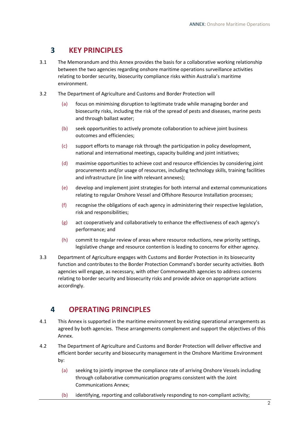## <span id="page-3-0"></span>**3 KEY PRINCIPLES**

- 3.1 The Memorandum and this Annex provides the basis for a collaborative working relationship between the two agencies regarding onshore maritime operations surveillance activities relating to border security, biosecurity compliance risks within Australia's maritime environment.
- 3.2 The Department of Agriculture and Customs and Border Protection will
	- (a) focus on minimising disruption to legitimate trade while managing border and biosecurity risks, including the risk of the spread of pests and diseases, marine pests and through ballast water;
	- (b) seek opportunities to actively promote collaboration to achieve joint business outcomes and efficiencies;
	- (c) support efforts to manage risk through the participation in policy development, national and international meetings, capacity building and joint initiatives;
	- (d) maximise opportunities to achieve cost and resource efficiencies by considering joint procurements and/or usage of resources, including technology skills, training facilities and infrastructure (in line with relevant annexes);
	- (e) develop and implement joint strategies for both internal and external communications relating to regular Onshore Vessel and Offshore Resource Installation processes;
	- (f) recognise the obligations of each agency in administering their respective legislation, risk and responsibilities;
	- (g) act cooperatively and collaboratively to enhance the effectiveness of each agency's performance; and
	- (h) commit to regular review of areas where resource reductions, new priority settings, legislative change and resource contention is leading to concerns for either agency.
- 3.3 Department of Agriculture engages with Customs and Border Protection in its biosecurity function and contributes to the Border Protection Command's border security activities. Both agencies will engage, as necessary, with other Commonwealth agencies to address concerns relating to border security and biosecurity risks and provide advice on appropriate actions accordingly.

## <span id="page-3-1"></span>**4 OPERATING PRINCIPLES**

- 4.1 This Annex is supported in the maritime environment by existing operational arrangements as agreed by both agencies. These arrangements complement and support the objectives of this Annex.
- 4.2 The Department of Agriculture and Customs and Border Protection will deliver effective and efficient border security and biosecurity management in the Onshore Maritime Environment by:
	- (a) seeking to jointly improve the compliance rate of arriving Onshore Vessels including through collaborative communication programs consistent with the Joint Communications Annex;
	- (b) identifying, reporting and collaboratively responding to non-compliant activity;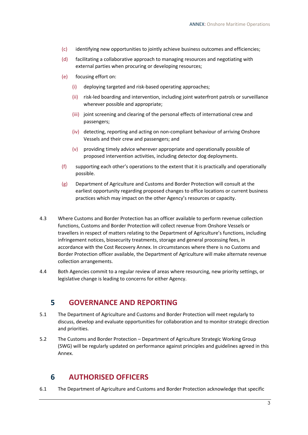- (c) identifying new opportunities to jointly achieve business outcomes and efficiencies;
- (d) facilitating a collaborative approach to managing resources and negotiating with external parties when procuring or developing resources;
- (e) focusing effort on:
	- (i) deploying targeted and risk-based operating approaches;
	- (ii) risk-led boarding and intervention, including joint waterfront patrols or surveillance wherever possible and appropriate;
	- (iii) joint screening and clearing of the personal effects of international crew and passengers;
	- (iv) detecting, reporting and acting on non-compliant behaviour of arriving Onshore Vessels and their crew and passengers; and
	- (v) providing timely advice wherever appropriate and operationally possible of proposed intervention activities, including detector dog deployments.
- (f) supporting each other's operations to the extent that it is practically and operationally possible.
- (g) Department of Agriculture and Customs and Border Protection will consult at the earliest opportunity regarding proposed changes to office locations or current business practices which may impact on the other Agency's resources or capacity.
- 4.3 Where Customs and Border Protection has an officer available to perform revenue collection functions, Customs and Border Protection will collect revenue from Onshore Vessels or travellers in respect of matters relating to the Department of Agriculture's functions, including infringement notices, biosecurity treatments, storage and general processing fees, in accordance with the Cost Recovery Annex. In circumstances where there is no Customs and Border Protection officer available, the Department of Agriculture will make alternate revenue collection arrangements.
- <span id="page-4-0"></span>4.4 Both Agencies commit to a regular review of areas where resourcing, new priority settings, or legislative change is leading to concerns for either Agency.

#### **5 GOVERNANCE AND REPORTING**

- 5.1 The Department of Agriculture and Customs and Border Protection will meet regularly to discuss, develop and evaluate opportunities for collaboration and to monitor strategic direction and priorities.
- 5.2 The Customs and Border Protection Department of Agriculture Strategic Working Group (SWG) will be regularly updated on performance against principles and guidelines agreed in this Annex.

#### <span id="page-4-1"></span>**6 AUTHORISED OFFICERS**

6.1 The Department of Agriculture and Customs and Border Protection acknowledge that specific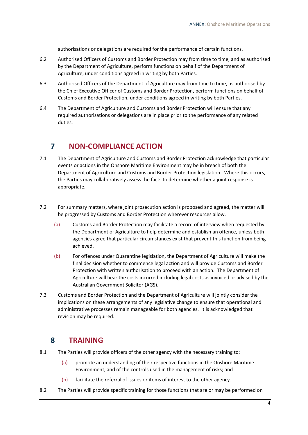authorisations or delegations are required for the performance of certain functions.

- 6.2 Authorised Officers of Customs and Border Protection may from time to time, and as authorised by the Department of Agriculture, perform functions on behalf of the Department of Agriculture, under conditions agreed in writing by both Parties.
- 6.3 Authorised Officers of the Department of Agriculture may from time to time, as authorised by the Chief Executive Officer of Customs and Border Protection, perform functions on behalf of Customs and Border Protection, under conditions agreed in writing by both Parties.
- 6.4 The Department of Agriculture and Customs and Border Protection will ensure that any required authorisations or delegations are in place prior to the performance of any related duties.

## <span id="page-5-0"></span>**7 NON-COMPLIANCE ACTION**

- 7.1 The Department of Agriculture and Customs and Border Protection acknowledge that particular events or actions in the Onshore Maritime Environment may be in breach of both the Department of Agriculture and Customs and Border Protection legislation. Where this occurs, the Parties may collaboratively assess the facts to determine whether a joint response is appropriate.
- 7.2 For summary matters, where joint prosecution action is proposed and agreed, the matter will be progressed by Customs and Border Protection wherever resources allow.
	- (a) Customs and Border Protection may facilitate a record of interview when requested by the Department of Agriculture to help determine and establish an offence, unless both agencies agree that particular circumstances exist that prevent this function from being achieved.
	- (b) For offences under Quarantine legislation, the Department of Agriculture will make the final decision whether to commence legal action and will provide Customs and Border Protection with written authorisation to proceed with an action. The Department of Agriculture will bear the costs incurred including legal costs as invoiced or advised by the Australian Government Solicitor (AGS).
- 7.3 Customs and Border Protection and the Department of Agriculture will jointly consider the implications on these arrangements of any legislative change to ensure that operational and administrative processes remain manageable for both agencies. It is acknowledged that revision may be required.

#### <span id="page-5-1"></span>**8 TRAINING**

- 8.1 The Parties will provide officers of the other agency with the necessary training to:
	- (a) promote an understanding of their respective functions in the Onshore Maritime Environment, and of the controls used in the management of risks; and
	- (b) facilitate the referral of issues or items of interest to the other agency.
- 8.2 The Parties will provide specific training for those functions that are or may be performed on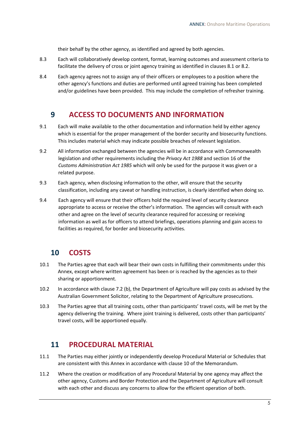their behalf by the other agency, as identified and agreed by both agencies.

- 8.3 Each will collaboratively develop content, format, learning outcomes and assessment criteria to facilitate the delivery of cross or joint agency training as identified in clauses 8.1 or 8.2.
- 8.4 Each agency agrees not to assign any of their officers or employees to a position where the other agency's functions and duties are performed until agreed training has been completed and/or guidelines have been provided. This may include the completion of refresher training.

#### <span id="page-6-0"></span>**9 ACCESS TO DOCUMENTS AND INFORMATION**

- 9.1 Each will make available to the other documentation and information held by either agency which is essential for the proper management of the border security and biosecurity functions. This includes material which may indicate possible breaches of relevant legislation.
- 9.2 All information exchanged between the agencies will be in accordance with Commonwealth legislation and other requirements including the *Privacy Act 1988* and section 16 of the *Customs Administration Act 1985* which will only be used for the purpose it was given or a related purpose.
- 9.3 Each agency, when disclosing information to the other, will ensure that the security classification, including any caveat or handling instruction, is clearly identified when doing so.
- 9.4 Each agency will ensure that their officers hold the required level of security clearance appropriate to access or receive the other's information. The agencies will consult with each other and agree on the level of security clearance required for accessing or receiving information as well as for officers to attend briefings, operations planning and gain access to facilities as required, for border and biosecurity activities.

#### <span id="page-6-1"></span>**10 COSTS**

- 10.1 The Parties agree that each will bear their own costs in fulfilling their commitments under this Annex, except where written agreement has been or is reached by the agencies as to their sharing or apportionment.
- 10.2 In accordance with clause 7.2 (b), the Department of Agriculture will pay costs as advised by the Australian Government Solicitor, relating to the Department of Agriculture prosecutions.
- 10.3 The Parties agree that all training costs, other than participants' travel costs, will be met by the agency delivering the training. Where joint training is delivered, costs other than participants' travel costs, will be apportioned equally.

#### <span id="page-6-2"></span>**11 PROCEDURAL MATERIAL**

- 11.1 The Parties may either jointly or independently develop Procedural Material or Schedules that are consistent with this Annex in accordance with clause 10 of the Memorandum.
- 11.2 Where the creation or modification of any Procedural Material by one agency may affect the other agency, Customs and Border Protection and the Department of Agriculture will consult with each other and discuss any concerns to allow for the efficient operation of both.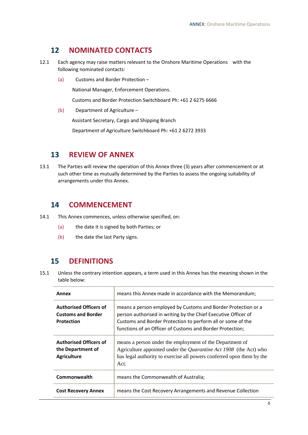## <span id="page-7-0"></span>**12 NOMINATED CONTACTS**

- 12.1 Each agency may raise matters relevant to the Onshore Maritime Operations with the following nominated contacts:
	- (a) Customs and Border Protection –

National Manager, Enforcement Operations.

Customs and Border Protection Switchboard Ph: +61 2 6275 6666

(b) Department of Agriculture –

Assistant Secretary, Cargo and Shipping Branch

Department of Agriculture Switchboard Ph: +61 2 6272 3933

#### <span id="page-7-1"></span>**13 REVIEW OF ANNEX**

13.1 The Parties will review the operation of this Annex three (3) years after commencement or at such other time as mutually determined by the Parties to assess the ongoing suitability of arrangements under this Annex.

#### <span id="page-7-2"></span>**14 COMMENCEMENT**

- 14.1 This Annex commences, unless otherwise specified, on:
	- (a) the date it is signed by both Parties; or
	- (b) the date the last Party signs.

## <span id="page-7-3"></span>**15 DEFINITIONS**

15.1 Unless the contrary intention appears, a term used in this Annex has the meaning shown in the table below:

| Annex                                                                           | means this Annex made in accordance with the Memorandum;                                                                                                                                                                                                    |
|---------------------------------------------------------------------------------|-------------------------------------------------------------------------------------------------------------------------------------------------------------------------------------------------------------------------------------------------------------|
| <b>Authorised Officers of</b><br><b>Customs and Border</b><br><b>Protection</b> | means a person employed by Customs and Border Protection or a<br>person authorised in writing by the Chief Executive Officer of<br>Customs and Border Protection to perform all or some of the<br>functions of an Officer of Customs and Border Protection; |
| <b>Authorised Officers of</b><br>the Department of<br><b>Agriculture</b>        | means a person under the employment of the Department of<br>Agriculture appointed under the <i>Quarantine Act 1908</i> (the Act) who<br>has legal authority to exercise all powers conferred upon them by the<br>Act.                                       |
| Commonwealth                                                                    | means the Commonwealth of Australia;                                                                                                                                                                                                                        |
| <b>Cost Recovery Annex</b>                                                      | means the Cost Recovery Arrangements and Revenue Collection                                                                                                                                                                                                 |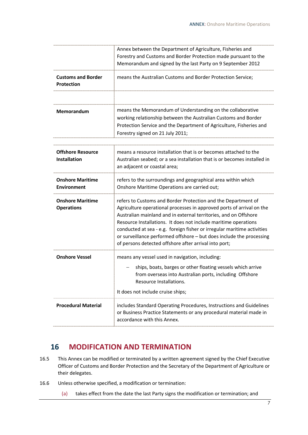|                                                 | Annex between the Department of Agriculture, Fisheries and<br>Forestry and Customs and Border Protection made pursuant to the<br>Memorandum and signed by the last Party on 9 September 2012                                                                                                                                                                                                                                                                                              |
|-------------------------------------------------|-------------------------------------------------------------------------------------------------------------------------------------------------------------------------------------------------------------------------------------------------------------------------------------------------------------------------------------------------------------------------------------------------------------------------------------------------------------------------------------------|
| <b>Customs and Border</b><br><b>Protection</b>  | means the Australian Customs and Border Protection Service;                                                                                                                                                                                                                                                                                                                                                                                                                               |
| <b>Memorandum</b>                               | means the Memorandum of Understanding on the collaborative<br>working relationship between the Australian Customs and Border<br>Protection Service and the Department of Agriculture, Fisheries and<br>Forestry signed on 21 July 2011;                                                                                                                                                                                                                                                   |
| <b>Offshore Resource</b><br><b>Installation</b> | means a resource installation that is or becomes attached to the<br>Australian seabed; or a sea installation that is or becomes installed in<br>an adjacent or coastal area;                                                                                                                                                                                                                                                                                                              |
| <b>Onshore Maritime</b><br><b>Environment</b>   | refers to the surroundings and geographical area within which<br>Onshore Maritime Operations are carried out;                                                                                                                                                                                                                                                                                                                                                                             |
| <b>Onshore Maritime</b><br><b>Operations</b>    | refers to Customs and Border Protection and the Department of<br>Agriculture operational processes in approved ports of arrival on the<br>Australian mainland and in external territories, and on Offshore<br>Resource Installations. It does not include maritime operations<br>conducted at sea - e.g. foreign fisher or irregular maritime activities<br>or surveillance performed offshore - but does include the processing<br>of persons detected offshore after arrival into port; |
| <b>Onshore Vessel</b>                           | means any vessel used in navigation, including:<br>ships, boats, barges or other floating vessels which arrive<br>from overseas into Australian ports, including Offshore<br>Resource Installations.<br>It does not include cruise ships;                                                                                                                                                                                                                                                 |
| <b>Procedural Material</b>                      | includes Standard Operating Procedures, Instructions and Guidelines<br>or Business Practice Statements or any procedural material made in<br>accordance with this Annex.                                                                                                                                                                                                                                                                                                                  |

#### <span id="page-8-0"></span>**16 MODIFICATION AND TERMINATION**

- 16.5 This Annex can be modified or terminated by a written agreement signed by the Chief Executive Officer of Customs and Border Protection and the Secretary of the Department of Agriculture or their delegates.
- 16.6 Unless otherwise specified, a modification or termination:
	- (a) takes effect from the date the last Party signs the modification or termination; and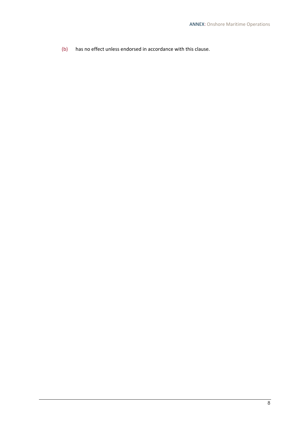(b) has no effect unless endorsed in accordance with this clause.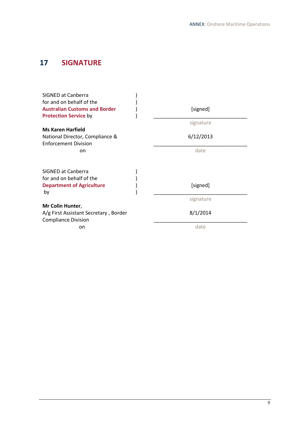# <span id="page-10-0"></span>**17 SIGNATURE**

| <b>SIGNED at Canberra</b><br>for and on behalf of the<br><b>Australian Customs and Border</b><br><b>Protection Service by</b> | [signed]  |
|-------------------------------------------------------------------------------------------------------------------------------|-----------|
|                                                                                                                               | signature |
| <b>Ms Karen Harfield</b>                                                                                                      |           |
| National Director, Compliance &<br><b>Enforcement Division</b>                                                                | 6/12/2013 |
| on                                                                                                                            | date      |
| SIGNED at Canberra<br>for and on behalf of the                                                                                |           |
| <b>Department of Agriculture</b>                                                                                              | [signed]  |
| by                                                                                                                            |           |
|                                                                                                                               | signature |
| Mr Colin Hunter,<br>A/g First Assistant Secretary, Border<br><b>Compliance Division</b>                                       | 8/1/2014  |
| on                                                                                                                            | date      |